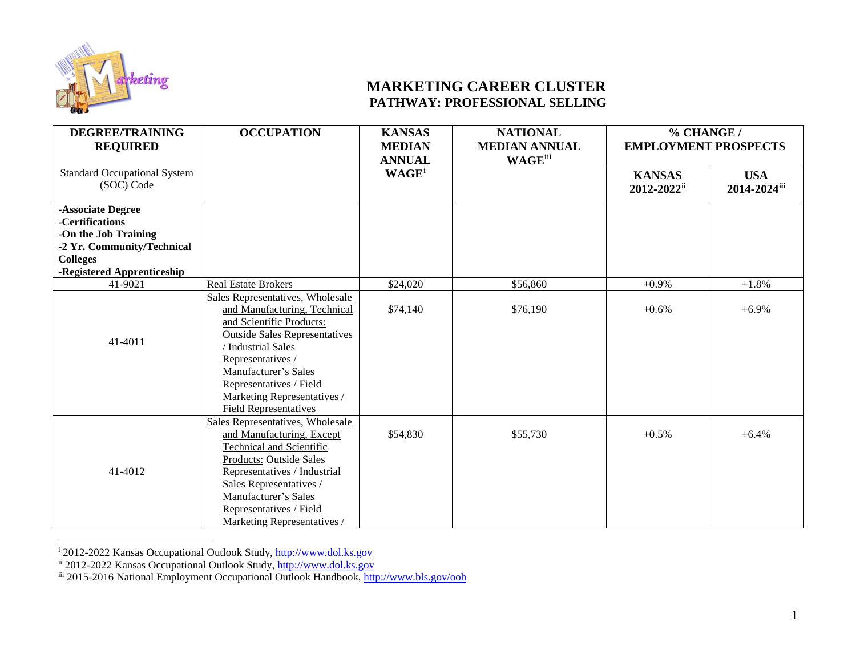

## <span id="page-0-2"></span><span id="page-0-1"></span><span id="page-0-0"></span>**MARKETING CAREER CLUSTER PATHWAY: PROFESSIONAL SELLING**

| <b>DEGREE/TRAINING</b><br><b>REQUIRED</b>         | <b>OCCUPATION</b>                    | <b>KANSAS</b><br><b>MEDIAN</b> | <b>NATIONAL</b><br><b>MEDIAN ANNUAL</b> | % CHANGE /<br><b>EMPLOYMENT PROSPECTS</b> |              |
|---------------------------------------------------|--------------------------------------|--------------------------------|-----------------------------------------|-------------------------------------------|--------------|
|                                                   |                                      | <b>ANNUAL</b>                  | <b>WAGE</b> iii                         |                                           |              |
| <b>Standard Occupational System</b><br>(SOC) Code |                                      | WAGE <sup>i</sup>              |                                         | <b>KANSAS</b>                             | <b>USA</b>   |
|                                                   |                                      |                                |                                         | 2012-2022ii                               | 2014-2024iii |
| -Associate Degree                                 |                                      |                                |                                         |                                           |              |
| -Certifications                                   |                                      |                                |                                         |                                           |              |
| -On the Job Training                              |                                      |                                |                                         |                                           |              |
| -2 Yr. Community/Technical                        |                                      |                                |                                         |                                           |              |
| <b>Colleges</b>                                   |                                      |                                |                                         |                                           |              |
| -Registered Apprenticeship                        |                                      |                                |                                         |                                           |              |
| 41-9021                                           | <b>Real Estate Brokers</b>           | \$24,020                       | \$56,860                                | $+0.9%$                                   | $+1.8%$      |
|                                                   | Sales Representatives, Wholesale     |                                |                                         |                                           |              |
|                                                   | and Manufacturing, Technical         | \$74,140                       | \$76,190                                | $+0.6%$                                   | $+6.9%$      |
|                                                   | and Scientific Products:             |                                |                                         |                                           |              |
| 41-4011                                           | <b>Outside Sales Representatives</b> |                                |                                         |                                           |              |
|                                                   | / Industrial Sales                   |                                |                                         |                                           |              |
|                                                   | Representatives /                    |                                |                                         |                                           |              |
|                                                   | Manufacturer's Sales                 |                                |                                         |                                           |              |
|                                                   | Representatives / Field              |                                |                                         |                                           |              |
|                                                   | Marketing Representatives /          |                                |                                         |                                           |              |
|                                                   | <b>Field Representatives</b>         |                                |                                         |                                           |              |
|                                                   | Sales Representatives, Wholesale     |                                |                                         |                                           |              |
|                                                   | and Manufacturing, Except            | \$54,830                       | \$55,730                                | $+0.5%$                                   | $+6.4%$      |
|                                                   | <b>Technical and Scientific</b>      |                                |                                         |                                           |              |
|                                                   | Products: Outside Sales              |                                |                                         |                                           |              |
| 41-4012                                           | Representatives / Industrial         |                                |                                         |                                           |              |
|                                                   | Sales Representatives /              |                                |                                         |                                           |              |
|                                                   | Manufacturer's Sales                 |                                |                                         |                                           |              |
|                                                   | Representatives / Field              |                                |                                         |                                           |              |
|                                                   | Marketing Representatives /          |                                |                                         |                                           |              |

i 2012-2022 Kansas Occupational Outlook Study, [http://www.dol.ks.gov](http://www.dol.ks.gov/)

ii 2012-2022 Kansas Occupational Outlook Study, [http://www.dol.ks.gov](http://www.dol.ks.gov/)

iii 2015-2016 National Employment Occupational Outlook Handbook[, http://www.bls.gov/ooh](http://www.bls.gov/ooh)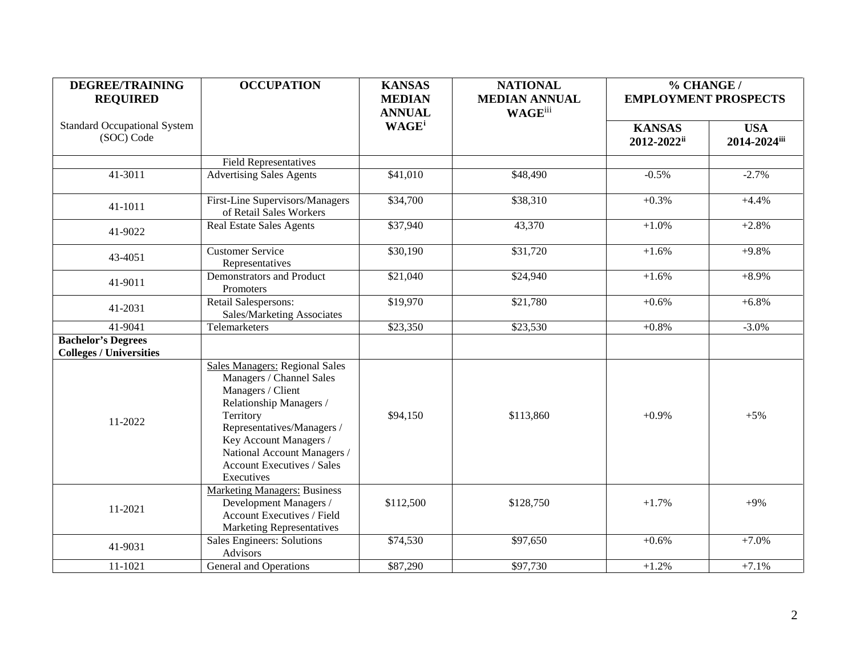| <b>DEGREE/TRAINING</b>                            | <b>OCCUPATION</b>                                                                                                                                                                                                                                                        | <b>KANSAS</b>                             | <b>NATIONAL</b>      | % CHANGE /                   |                            |
|---------------------------------------------------|--------------------------------------------------------------------------------------------------------------------------------------------------------------------------------------------------------------------------------------------------------------------------|-------------------------------------------|----------------------|------------------------------|----------------------------|
| <b>REQUIRED</b>                                   |                                                                                                                                                                                                                                                                          | <b>MEDIAN</b>                             | <b>MEDIAN ANNUAL</b> | <b>EMPLOYMENT PROSPECTS</b>  |                            |
| <b>Standard Occupational System</b><br>(SOC) Code |                                                                                                                                                                                                                                                                          | <b>ANNUAL</b><br><b>WAGE</b> <sup>i</sup> | <b>WAGE</b> iii      | <b>KANSAS</b><br>2012-2022ii | <b>USA</b><br>2014-2024iii |
|                                                   | <b>Field Representatives</b>                                                                                                                                                                                                                                             |                                           |                      |                              |                            |
| 41-3011                                           | <b>Advertising Sales Agents</b>                                                                                                                                                                                                                                          | \$41,010                                  | \$48,490             | $-0.5\%$                     | $-2.7%$                    |
| 41-1011                                           | First-Line Supervisors/Managers<br>of Retail Sales Workers                                                                                                                                                                                                               | \$34,700                                  | \$38,310             | $+0.3%$                      | $+4.4%$                    |
| 41-9022                                           | <b>Real Estate Sales Agents</b>                                                                                                                                                                                                                                          | \$37,940                                  | 43,370               | $+1.0%$                      | $+2.8%$                    |
| 43-4051                                           | <b>Customer Service</b><br>Representatives                                                                                                                                                                                                                               | \$30,190                                  | \$31,720             | $+1.6%$                      | $+9.8%$                    |
| 41-9011                                           | Demonstrators and Product<br>Promoters                                                                                                                                                                                                                                   | \$21,040                                  | \$24,940             | $+1.6%$                      | $+8.9\%$                   |
| 41-2031                                           | Retail Salespersons:<br>Sales/Marketing Associates                                                                                                                                                                                                                       | \$19,970                                  | \$21,780             | $+0.6%$                      | $+6.8\%$                   |
| 41-9041                                           | Telemarketers                                                                                                                                                                                                                                                            | \$23,350                                  | \$23,530             | $+0.8%$                      | $-3.0%$                    |
| <b>Bachelor's Degrees</b>                         |                                                                                                                                                                                                                                                                          |                                           |                      |                              |                            |
| <b>Colleges / Universities</b>                    |                                                                                                                                                                                                                                                                          |                                           |                      |                              |                            |
| 11-2022                                           | <b>Sales Managers: Regional Sales</b><br>Managers / Channel Sales<br>Managers / Client<br>Relationship Managers /<br>Territory<br>Representatives/Managers /<br>Key Account Managers /<br>National Account Managers /<br><b>Account Executives / Sales</b><br>Executives | \$94,150                                  | \$113,860            | $+0.9%$                      | $+5%$                      |
| 11-2021                                           | <b>Marketing Managers: Business</b><br>Development Managers /<br><b>Account Executives / Field</b><br><b>Marketing Representatives</b>                                                                                                                                   | \$112,500                                 | \$128,750            | $+1.7%$                      | $+9%$                      |
| 41-9031                                           | Sales Engineers: Solutions<br>Advisors                                                                                                                                                                                                                                   | \$74,530                                  | \$97,650             | $+0.6%$                      | $+7.0%$                    |
| 11-1021                                           | General and Operations                                                                                                                                                                                                                                                   | \$87,290                                  | $\frac{1}{97,730}$   | $+1.2%$                      | $+7.1%$                    |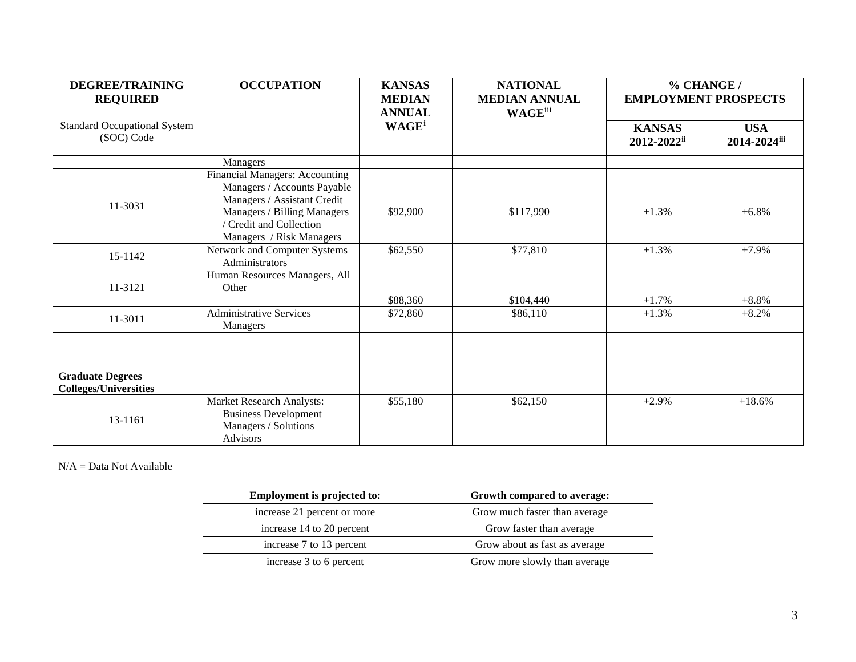| <b>DEGREE/TRAINING</b><br><b>REQUIRED</b>               | <b>OCCUPATION</b>                                                                                                                                                                         | <b>KANSAS</b><br><b>MEDIAN</b><br><b>ANNUAL</b> | <b>NATIONAL</b><br><b>MEDIAN ANNUAL</b><br><b>WAGE</b> iii | % CHANGE /<br><b>EMPLOYMENT PROSPECTS</b>    |                            |
|---------------------------------------------------------|-------------------------------------------------------------------------------------------------------------------------------------------------------------------------------------------|-------------------------------------------------|------------------------------------------------------------|----------------------------------------------|----------------------------|
| <b>Standard Occupational System</b><br>(SOC) Code       |                                                                                                                                                                                           | WAGE <sup>i</sup>                               |                                                            | <b>KANSAS</b><br>$2012 - 2022$ <sup>ii</sup> | <b>USA</b><br>2014-2024iii |
|                                                         | Managers                                                                                                                                                                                  |                                                 |                                                            |                                              |                            |
| 11-3031                                                 | <b>Financial Managers: Accounting</b><br>Managers / Accounts Payable<br>Managers / Assistant Credit<br>Managers / Billing Managers<br>/ Credit and Collection<br>Managers / Risk Managers | \$92,900                                        | \$117,990                                                  | $+1.3%$                                      | $+6.8%$                    |
| 15-1142                                                 | Network and Computer Systems<br>Administrators                                                                                                                                            | \$62,550                                        | \$77,810                                                   | $+1.3%$                                      | $+7.9%$                    |
| 11-3121                                                 | Human Resources Managers, All<br>Other                                                                                                                                                    | \$88,360                                        | \$104,440                                                  | $+1.7%$                                      | $+8.8%$                    |
| 11-3011                                                 | <b>Administrative Services</b><br><b>Managers</b>                                                                                                                                         | \$72,860                                        | \$86,110                                                   | $+1.3%$                                      | $+8.2%$                    |
| <b>Graduate Degrees</b><br><b>Colleges/Universities</b> |                                                                                                                                                                                           |                                                 |                                                            |                                              |                            |
| 13-1161                                                 | <b>Market Research Analysts:</b><br><b>Business Development</b><br>Managers / Solutions<br><b>Advisors</b>                                                                                | \$55,180                                        | \$62,150                                                   | $+2.9%$                                      | $+18.6%$                   |

N/A = Data Not Available

| <b>Employment is projected to:</b> | Growth compared to average:   |
|------------------------------------|-------------------------------|
| increase 21 percent or more        | Grow much faster than average |
| increase 14 to 20 percent          | Grow faster than average      |
| increase 7 to 13 percent           | Grow about as fast as average |
| increase 3 to 6 percent            | Grow more slowly than average |